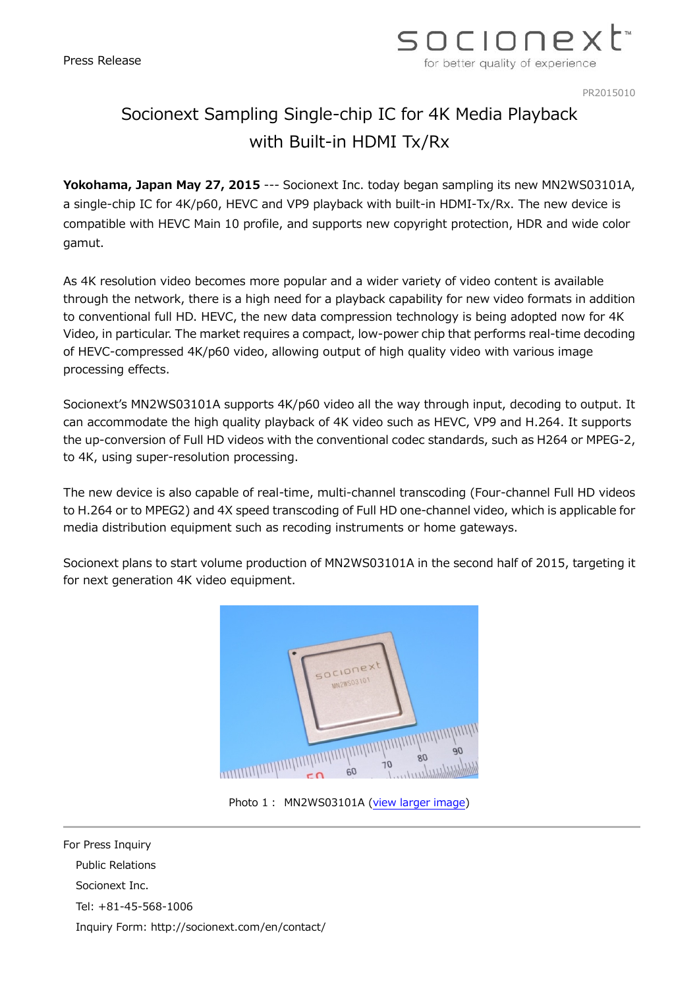

PR2015010

## Socionext Sampling Single-chip IC for 4K Media Playback with Built-in HDMI Tx/Rx

**Yokohama, Japan May 27, 2015** --- Socionext Inc. today began sampling its new MN2WS03101A, a single-chip IC for 4K/p60, HEVC and VP9 playback with built-in HDMI-Tx/Rx. The new device is compatible with HEVC Main 10 profile, and supports new copyright protection, HDR and wide color gamut.

As 4K resolution video becomes more popular and a wider variety of video content is available through the network, there is a high need for a playback capability for new video formats in addition to conventional full HD. HEVC, the new data compression technology is being adopted now for 4K Video, in particular. The market requires a compact, low-power chip that performs real-time decoding of HEVC-compressed 4K/p60 video, allowing output of high quality video with various image processing effects.

Socionext's MN2WS03101A supports 4K/p60 video all the way through input, decoding to output. It can accommodate the high quality playback of 4K video such as HEVC, VP9 and H.264. It supports the up-conversion of Full HD videos with the conventional codec standards, such as H264 or MPEG-2, to 4K, using super-resolution processing.

The new device is also capable of real-time, multi-channel transcoding (Four-channel Full HD videos to H.264 or to MPEG2) and 4X speed transcoding of Full HD one-channel video, which is applicable for media distribution equipment such as recoding instruments or home gateways.

Socionext plans to start volume production of MN2WS03101A in the second half of 2015, targeting it for next generation 4K video equipment.



Photo 1: MN2WS03101A [\(view larger image\)](http://www.socionext.com/jp/pr/sn_pr20150527_01_MN2WS03101A.jpg)

For Press Inquiry Public Relations Socionext Inc. Tel: +81-45-568-1006 Inquiry Form: http://socionext.com/en/contact/